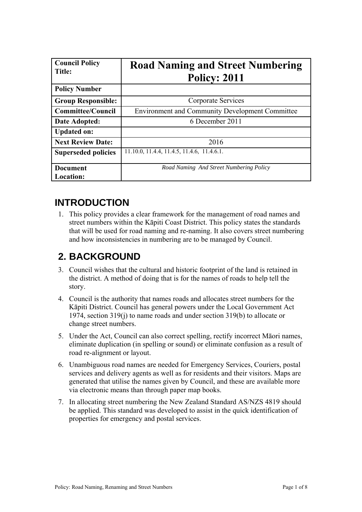| <b>Council Policy</b><br><b>Title:</b> | <b>Road Naming and Street Numbering</b><br><b>Policy: 2011</b> |
|----------------------------------------|----------------------------------------------------------------|
| <b>Policy Number</b>                   |                                                                |
| <b>Group Responsible:</b>              | Corporate Services                                             |
| <b>Committee/Council</b>               | <b>Environment and Community Development Committee</b>         |
| Date Adopted:                          | 6 December 2011                                                |
| <b>Updated on:</b>                     |                                                                |
| <b>Next Review Date:</b>               | 2016                                                           |
| <b>Superseded policies</b>             | 11.10.0, 11.4.4, 11.4.5, 11.4.6, 11.4.6.1.                     |
| <b>Document</b>                        | Road Naming And Street Numbering Policy                        |
| <b>Location:</b>                       |                                                                |

# **INTRODUCTION**

1. This policy provides a clear framework for the management of road names and street numbers within the Kāpiti Coast District. This policy states the standards that will be used for road naming and re-naming. It also covers street numbering and how inconsistencies in numbering are to be managed by Council.

# **2. BACKGROUND**

- 3. Council wishes that the cultural and historic footprint of the land is retained in the district. A method of doing that is for the names of roads to help tell the story.
- 4. Council is the authority that names roads and allocates street numbers for the Kāpiti District. Council has general powers under the Local Government Act 1974, section 319(j) to name roads and under section 319(b) to allocate or change street numbers.
- 5. Under the Act, Council can also correct spelling, rectify incorrect Māori names, eliminate duplication (in spelling or sound) or eliminate confusion as a result of road re-alignment or layout.
- 6. Unambiguous road names are needed for Emergency Services, Couriers, postal services and delivery agents as well as for residents and their visitors. Maps are generated that utilise the names given by Council, and these are available more via electronic means than through paper map books.
- 7. In allocating street numbering the New Zealand Standard AS/NZS 4819 should be applied. This standard was developed to assist in the quick identification of properties for emergency and postal services.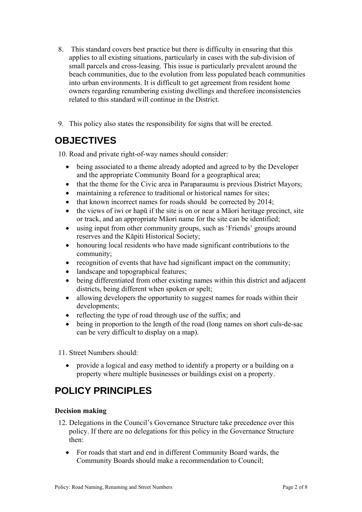- 8. This standard covers best practice but there is difficulty in ensuring that this applies to all existing situations, particularly in cases with the sub-division of small parcels and cross-leasing. This issue is particularly prevalent around the beach communities, due to the evolution from less populated beach communities into urban environments. It is difficult to get agreement from resident home owners regarding renumbering existing dwellings and therefore inconsistencies related to this standard will continue in the District.
- 9. This policy also states the responsibility for signs that will be erected.

# **OBJECTIVES**

10. Road and private right-of-way names should consider:

- being associated to a theme already adopted and agreed to by the Developer and the appropriate Community Board for a geographical area;
- that the theme for the Civic area in Paraparaumu is previous District Mayors;
- maintaining a reference to traditional or historical names for sites:
- that known incorrect names for roads should be corrected by 2014;
- the views of iwi or hapū if the site is on or near a Māori heritage precinct, site or track, and an appropriate Māori name for the site can be identified;
- using input from other community groups, such as 'Friends' groups around reserves and the Kāpiti Historical Society;
- honouring local residents who have made significant contributions to the community;
- recognition of events that have had significant impact on the community;
- landscape and topographical features;
- being differentiated from other existing names within this district and adjacent districts, being different when spoken or spelt;
- allowing developers the opportunity to suggest names for roads within their developments;
- reflecting the type of road through use of the suffix; and
- being in proportion to the length of the road (long names on short culs-de-sac can be very difficult to display on a map).

11. Street Numbers should:

 provide a logical and easy method to identify a property or a building on a property where multiple businesses or buildings exist on a property.

# **POLICY PRINCIPLES**

## **Decision making**

- 12. Delegations in the Council's Governance Structure take precedence over this policy. If there are no delegations for this policy in the Governance Structure then:
	- For roads that start and end in different Community Board wards, the Community Boards should make a recommendation to Council;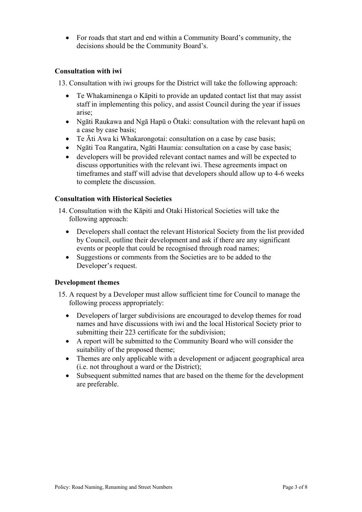For roads that start and end within a Community Board's community, the decisions should be the Community Board's.

## **Consultation with iwi**

13. Consultation with iwi groups for the District will take the following approach:

- Te Whakaminenga o Kāpiti to provide an updated contact list that may assist staff in implementing this policy, and assist Council during the year if issues arise;
- Ngāti Raukawa and Ngā Hapū o Ōtaki: consultation with the relevant hapū on a case by case basis;
- Te Āti Awa ki Whakarongotai: consultation on a case by case basis;
- Ngāti Toa Rangatira, Ngāti Haumia: consultation on a case by case basis;
- developers will be provided relevant contact names and will be expected to discuss opportunities with the relevant iwi. These agreements impact on timeframes and staff will advise that developers should allow up to 4-6 weeks to complete the discussion.

## **Consultation with Historical Societies**

- 14. Consultation with the Kāpiti and Otaki Historical Societies will take the following approach:
	- Developers shall contact the relevant Historical Society from the list provided by Council, outline their development and ask if there are any significant events or people that could be recognised through road names;
	- Suggestions or comments from the Societies are to be added to the Developer's request.

## **Development themes**

- 15. A request by a Developer must allow sufficient time for Council to manage the following process appropriately:
	- Developers of larger subdivisions are encouraged to develop themes for road names and have discussions with iwi and the local Historical Society prior to submitting their 223 certificate for the subdivision;
	- A report will be submitted to the Community Board who will consider the suitability of the proposed theme;
	- Themes are only applicable with a development or adjacent geographical area (i.e. not throughout a ward or the District);
	- Subsequent submitted names that are based on the theme for the development are preferable.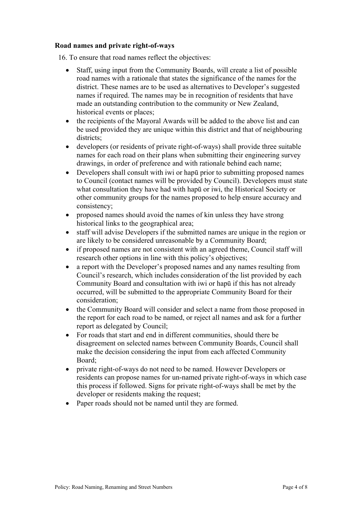## **Road names and private right-of-ways**

16. To ensure that road names reflect the objectives:

- Staff, using input from the Community Boards, will create a list of possible road names with a rationale that states the significance of the names for the district. These names are to be used as alternatives to Developer's suggested names if required. The names may be in recognition of residents that have made an outstanding contribution to the community or New Zealand, historical events or places;
- the recipients of the Mayoral Awards will be added to the above list and can be used provided they are unique within this district and that of neighbouring districts:
- developers (or residents of private right-of-ways) shall provide three suitable names for each road on their plans when submitting their engineering survey drawings, in order of preference and with rationale behind each name;
- Developers shall consult with iwi or hapū prior to submitting proposed names to Council (contact names will be provided by Council). Developers must state what consultation they have had with hapū or iwi, the Historical Society or other community groups for the names proposed to help ensure accuracy and consistency;
- proposed names should avoid the names of kin unless they have strong historical links to the geographical area;
- staff will advise Developers if the submitted names are unique in the region or are likely to be considered unreasonable by a Community Board;
- if proposed names are not consistent with an agreed theme, Council staff will research other options in line with this policy's objectives;
- a report with the Developer's proposed names and any names resulting from Council's research, which includes consideration of the list provided by each Community Board and consultation with iwi or hapū if this has not already occurred, will be submitted to the appropriate Community Board for their consideration;
- the Community Board will consider and select a name from those proposed in the report for each road to be named, or reject all names and ask for a further report as delegated by Council;
- For roads that start and end in different communities, should there be disagreement on selected names between Community Boards, Council shall make the decision considering the input from each affected Community Board;
- private right-of-ways do not need to be named. However Developers or residents can propose names for un-named private right-of-ways in which case this process if followed. Signs for private right-of-ways shall be met by the developer or residents making the request;
- Paper roads should not be named until they are formed.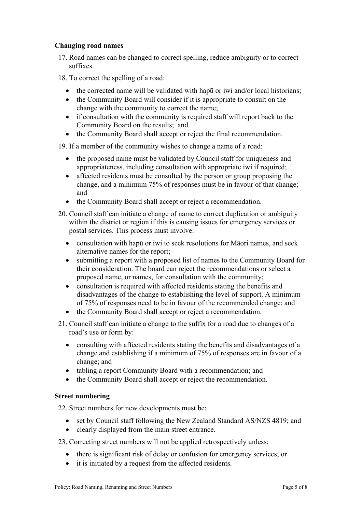## **Changing road names**

- 17. Road names can be changed to correct spelling, reduce ambiguity or to correct suffixes.
- 18. To correct the spelling of a road:
	- the corrected name will be validated with hapū or iwi and/or local historians;
	- the Community Board will consider if it is appropriate to consult on the change with the community to correct the name;
	- if consultation with the community is required staff will report back to the Community Board on the results; and
	- the Community Board shall accept or reject the final recommendation.
- 19. If a member of the community wishes to change a name of a road:
	- the proposed name must be validated by Council staff for uniqueness and appropriateness, including consultation with appropriate iwi if required;
	- affected residents must be consulted by the person or group proposing the change, and a minimum 75% of responses must be in favour of that change; and
	- the Community Board shall accept or reject a recommendation.
- 20. Council staff can initiate a change of name to correct duplication or ambiguity within the district or region if this is causing issues for emergency services or postal services. This process must involve:
	- consultation with hapū or iwi to seek resolutions for Māori names, and seek alternative names for the report;
	- submitting a report with a proposed list of names to the Community Board for their consideration. The board can reject the recommendations or select a proposed name, or names, for consultation with the community;
	- consultation is required with affected residents stating the benefits and disadvantages of the change to establishing the level of support. A minimum of 75% of responses need to be in favour of the recommended change; and
	- the Community Board shall accept or reject a recommendation.
- 21. Council staff can initiate a change to the suffix for a road due to changes of a road's use or form by:
	- consulting with affected residents stating the benefits and disadvantages of a change and establishing if a minimum of 75% of responses are in favour of a change; and
	- tabling a report Community Board with a recommendation; and
	- the Community Board shall accept or reject the recommendation.

## **Street numbering**

22. Street numbers for new developments must be:

- set by Council staff following the New Zealand Standard AS/NZS 4819; and
- clearly displayed from the main street entrance.
- 23. Correcting street numbers will not be applied retrospectively unless:
	- there is significant risk of delay or confusion for emergency services; or
	- it is initiated by a request from the affected residents.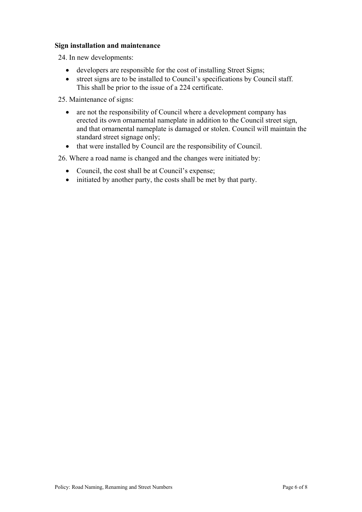## **Sign installation and maintenance**

24. In new developments:

- developers are responsible for the cost of installing Street Signs;
- street signs are to be installed to Council's specifications by Council staff. This shall be prior to the issue of a 224 certificate.

25. Maintenance of signs:

- are not the responsibility of Council where a development company has erected its own ornamental nameplate in addition to the Council street sign, and that ornamental nameplate is damaged or stolen. Council will maintain the standard street signage only;
- that were installed by Council are the responsibility of Council.

26. Where a road name is changed and the changes were initiated by:

- Council, the cost shall be at Council's expense;
- initiated by another party, the costs shall be met by that party.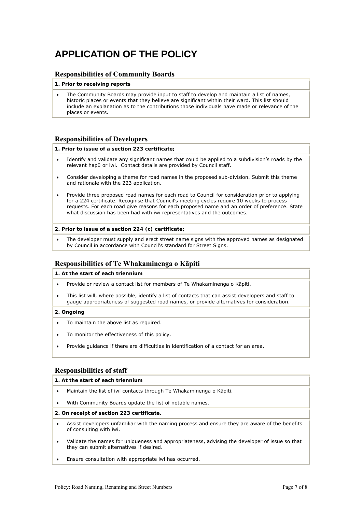# **APPLICATION OF THE POLICY**

### **Responsibilities of Community Boards**

### **1. Prior to receiving reports**

 The Community Boards may provide input to staff to develop and maintain a list of names, historic places or events that they believe are significant within their ward. This list should include an explanation as to the contributions those individuals have made or relevance of the places or events.

### **Responsibilities of Developers**

### **1. Prior to issue of a section 223 certificate;**

- Identify and validate any significant names that could be applied to a subdivision's roads by the relevant hapū or iwi. Contact details are provided by Council staff.
- Consider developing a theme for road names in the proposed sub-division. Submit this theme and rationale with the 223 application.
- Provide three proposed road names for each road to Council for consideration prior to applying for a 224 certificate. Recognise that Council's meeting cycles require 10 weeks to process requests. For each road give reasons for each proposed name and an order of preference. State what discussion has been had with iwi representatives and the outcomes.

#### **2. Prior to issue of a section 224 (c) certificate;**

 The developer must supply and erect street name signs with the approved names as designated by Council in accordance with Council's standard for Street Signs.

### **Responsibilities of Te Whakaminenga o Kāpiti**

### **1. At the start of each triennium**

- Provide or review a contact list for members of Te Whakaminenga o Kāpiti.
- This list will, where possible, identify a list of contacts that can assist developers and staff to gauge appropriateness of suggested road names, or provide alternatives for consideration.

### **2. Ongoing**

- To maintain the above list as required.
- To monitor the effectiveness of this policy.
- Provide guidance if there are difficulties in identification of a contact for an area.

### **Responsibilities of staff**

### **1. At the start of each triennium**

- Maintain the list of iwi contacts through Te Whakaminenga o Kāpiti.
- With Community Boards update the list of notable names.

### **2. On receipt of section 223 certificate.**

- Assist developers unfamiliar with the naming process and ensure they are aware of the benefits of consulting with iwi.
- Validate the names for uniqueness and appropriateness, advising the developer of issue so that they can submit alternatives if desired.
- Ensure consultation with appropriate iwi has occurred.